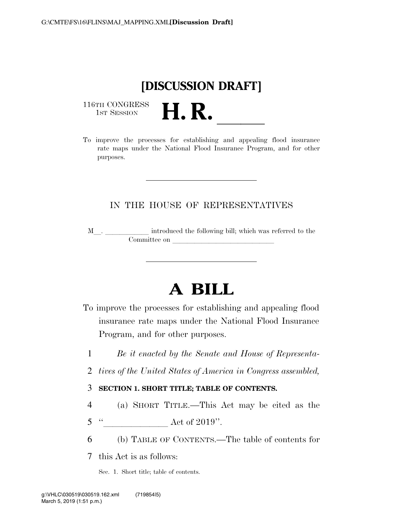

116TH CONGRESS<br>1st Session

116TH CONGRESS<br>1st SESSION **H. R.** <u>Indicates</u> rate maps under the National Flood Insurance Program, and for other purposes.

# IN THE HOUSE OF REPRESENTATIVES

M<sub>\_\_\_</sub>. \_\_\_\_\_\_\_\_\_\_\_\_\_\_ introduced the following bill; which was referred to the  $$ 

# **A BILL**

- To improve the processes for establishing and appealing flood insurance rate maps under the National Flood Insurance Program, and for other purposes.
	- 1 *Be it enacted by the Senate and House of Representa-*
	- 2 *tives of the United States of America in Congress assembled,*

### 3 **SECTION 1. SHORT TITLE; TABLE OF CONTENTS.**

- 4 (a) SHORT TITLE.—This Act may be cited as the
- $5$  "<br>Act of 2019".
- 6 (b) TABLE OF CONTENTS.—The table of contents for

7 this Act is as follows:

Sec. 1. Short title; table of contents.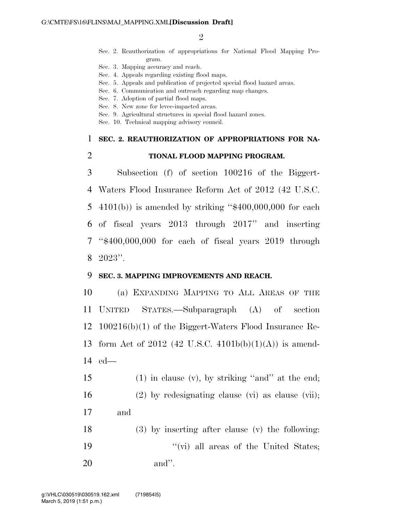$\mathfrak{D}$ 

- Sec. 2. Reauthorization of appropriations for National Flood Mapping Program.
- Sec. 3. Mapping accuracy and reach.
- Sec. 4. Appeals regarding existing flood maps.
- Sec. 5. Appeals and publication of projected special flood hazard areas.
- Sec. 6. Communication and outreach regarding map changes.
- Sec. 7. Adoption of partial flood maps.
- Sec. 8. New zone for levee-impacted areas.
- Sec. 9. Agricultural structures in special flood hazard zones.
- Sec. 10. Technical mapping advisory council.

# 1 **SEC. 2. REAUTHORIZATION OF APPROPRIATIONS FOR NA-**

### 2 **TIONAL FLOOD MAPPING PROGRAM.**

 Subsection (f) of section 100216 of the Biggert- Waters Flood Insurance Reform Act of 2012 (42 U.S.C. 4101(b)) is amended by striking ''\$400,000,000 for each of fiscal years 2013 through 2017'' and inserting ''\$400,000,000 for each of fiscal years 2019 through 8 2023''.

#### 9 **SEC. 3. MAPPING IMPROVEMENTS AND REACH.**

10 (a) EXPANDING MAPPING TO ALL AREAS OF THE 11 UNITED STATES.—Subparagraph (A) of section 12 100216(b)(1) of the Biggert-Waters Flood Insurance Re-13 form Act of 2012 (42 U.S.C. 4101b(b)(1)(A)) is amend-14 ed—

15 (1) in clause (v), by striking ''and'' at the end; 16 (2) by redesignating clause (vi) as clause (vii); 17 and

18 (3) by inserting after clause (v) the following: 19 ''(vi) all areas of the United States; 20 and''.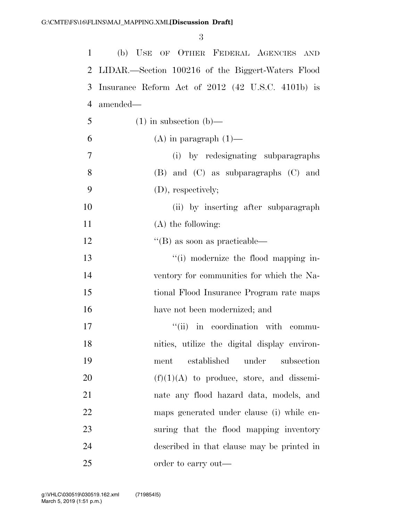| $\mathbf{1}$ | (b) USE OF OTHER FEDERAL AGENCIES AND             |
|--------------|---------------------------------------------------|
| 2            | LIDAR.—Section 100216 of the Biggert-Waters Flood |
| 3            | Insurance Reform Act of 2012 (42 U.S.C. 4101b) is |
| 4            | amended—                                          |
| 5            | $(1)$ in subsection $(b)$ —                       |
| 6            | $(A)$ in paragraph $(1)$ —                        |
| $\tau$       | (i) by redesignating subparagraphs                |
| 8            | (B) and (C) as subparagraphs (C) and              |
| 9            | (D), respectively;                                |
| 10           | (ii) by inserting after subparagraph              |
| 11           | $(A)$ the following:                              |
| 12           | $\lq$ (B) as soon as practicable—                 |
| 13           | "(i) modernize the flood mapping in-              |
| 14           | ventory for communities for which the Na-         |
| 15           | tional Flood Insurance Program rate maps          |
| 16           | have not been modernized; and                     |
| 17           | "(ii) in coordination with commu-                 |
| 18           | nities, utilize the digital display environ-      |
| 19           | established<br>under<br>subsection<br>ment        |
| 20           | $(f)(1)(A)$ to produce, store, and dissemi-       |
| 21           | nate any flood hazard data, models, and           |
| 22           | maps generated under clause (i) while en-         |
| 23           | suring that the flood mapping inventory           |
| 24           | described in that clause may be printed in        |
| 25           | order to carry out—                               |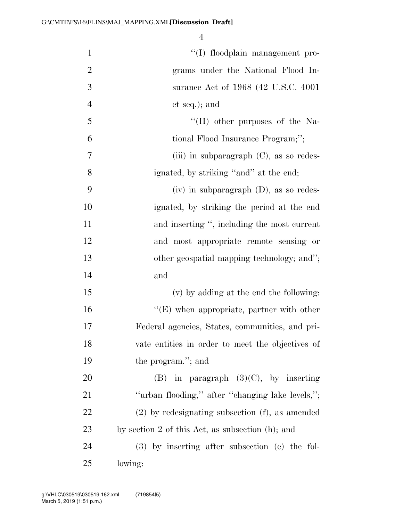| $\mathbf{1}$   | "(I) floodplain management pro-                      |
|----------------|------------------------------------------------------|
| $\overline{2}$ | grams under the National Flood In-                   |
| 3              | surance Act of 1968 (42 U.S.C. 4001)                 |
| $\overline{4}$ | et seq.); and                                        |
| 5              | $\lq\lq$ (II) other purposes of the Na-              |
| 6              | tional Flood Insurance Program;";                    |
| 7              | (iii) in subparagraph $(C)$ , as so redes-           |
| 8              | ignated, by striking "and" at the end;               |
| 9              | $(iv)$ in subparagraph $(D)$ , as so redes-          |
| 10             | ignated, by striking the period at the end           |
| 11             | and inserting ", including the most current          |
| 12             | and most appropriate remote sensing or               |
| 13             | other geospatial mapping technology; and";           |
| 14             | and                                                  |
| 15             | (v) by adding at the end the following:              |
| 16             | $\lq\lq(E)$ when appropriate, partner with other     |
| 17             | Federal agencies, States, communities, and pri-      |
| 18             | vate entities in order to meet the objectives of     |
| 19             | the program."; and                                   |
| 20             | (B) in paragraph $(3)(C)$ , by inserting             |
| 21             | "urban flooding," after "changing lake levels,";     |
| 22             | $(2)$ by redesignating subsection $(f)$ , as amended |
| 23             | by section 2 of this Act, as subsection $(h)$ ; and  |
| 24             | $(3)$ by inserting after subsection (e) the fol-     |
| 25             | lowing:                                              |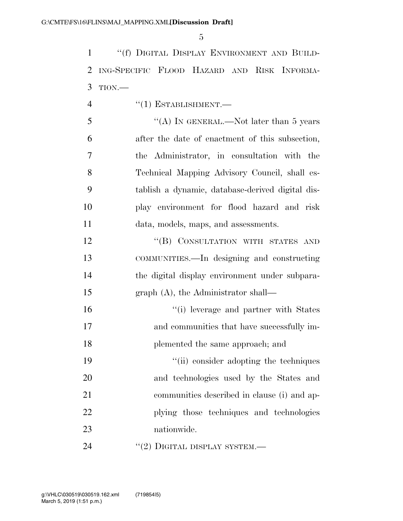''(f) DIGITAL DISPLAY ENVIRONMENT AND BUILD- ING-SPECIFIC FLOOD HAZARD AND RISK INFORMA-TION.—

- 4  $((1)$  ESTABLISHMENT.
- 5 "(A) IN GENERAL.—Not later than 5 years after the date of enactment of this subsection, the Administrator, in consultation with the Technical Mapping Advisory Council, shall es- tablish a dynamic, database-derived digital dis- play environment for flood hazard and risk data, models, maps, and assessments.

12 "(B) CONSULTATION WITH STATES AND COMMUNITIES.—In designing and constructing the digital display environment under subpara-graph (A), the Administrator shall—

 ''(i) leverage and partner with States and communities that have successfully im-plemented the same approach; and

19 ''(ii) consider adopting the techniques and technologies used by the States and communities described in clause (i) and ap- plying those techniques and technologies nationwide.

24  $''(2)$  DIGITAL DISPLAY SYSTEM.—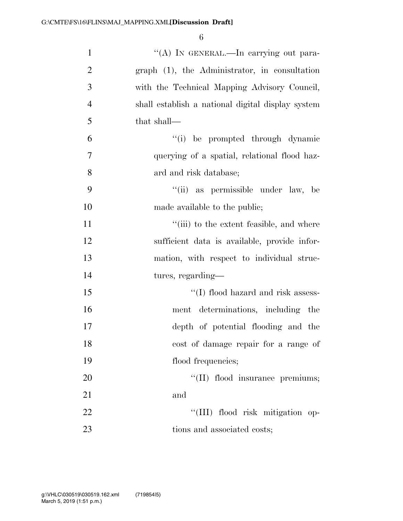| $\mathbf{1}$   | "(A) IN GENERAL.—In carrying out para-            |
|----------------|---------------------------------------------------|
| $\overline{2}$ | graph (1), the Administrator, in consultation     |
| 3              | with the Technical Mapping Advisory Council,      |
| $\overline{4}$ | shall establish a national digital display system |
| 5              | that shall—                                       |
| 6              | "(i) be prompted through dynamic                  |
| $\overline{7}$ | querying of a spatial, relational flood haz-      |
| 8              | ard and risk database;                            |
| 9              | "(ii) as permissible under law, be                |
| 10             | made available to the public;                     |
| 11             | "(iii) to the extent feasible, and where          |
| 12             | sufficient data is available, provide infor-      |
| 13             | mation, with respect to individual struc-         |
| 14             | tures, regarding—                                 |
| 15             | "(I) flood hazard and risk assess-                |
| 16             | ment determinations, including the                |
| 17             | depth of potential flooding and the               |
| 18             | cost of damage repair for a range of              |
| 19             | flood frequencies;                                |
| 20             | "(II) flood insurance premiums;                   |
| 21             | and                                               |
| 22             | "(III) flood risk mitigation op-                  |
| 23             | tions and associated costs;                       |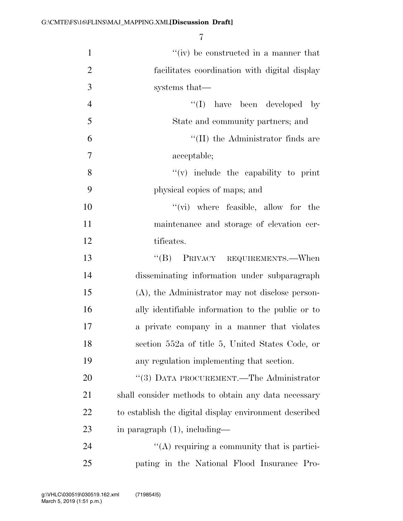| $\mathbf{1}$   | "(iv) be constructed in a manner that                  |
|----------------|--------------------------------------------------------|
| $\overline{2}$ | facilitates coordination with digital display          |
| 3              | systems that—                                          |
| $\overline{4}$ | $\lq\lq$ (I) have been developed by                    |
| 5              | State and community partners; and                      |
| 6              | $\lq\lq$ (II) the Administrator finds are              |
| 7              | acceptable;                                            |
| 8              | $f'(v)$ include the capability to print                |
| 9              | physical copies of maps; and                           |
| 10             | $\lq\lq$ (vi) where feasible, allow for the            |
| 11             | maintenance and storage of elevation cer-              |
| 12             | tificates.                                             |
| 13             | PRIVACY REQUIREMENTS.—When<br>$\mathrm{``(B)}$         |
| 14             | disseminating information under subparagraph           |
| 15             | (A), the Administrator may not disclose person-        |
| 16             | ally identifiable information to the public or to      |
| 17             | a private company in a manner that violates            |
| 18             | section 552a of title 5, United States Code, or        |
| 19             | any regulation implementing that section.              |
| 20             | "(3) DATA PROCUREMENT.—The Administrator               |
| 21             | shall consider methods to obtain any data necessary    |
| 22             | to establish the digital display environment described |
| 23             | in paragraph $(1)$ , including—                        |
| 24             | $\lq\lq$ requiring a community that is partici-        |
| 25             | pating in the National Flood Insurance Pro-            |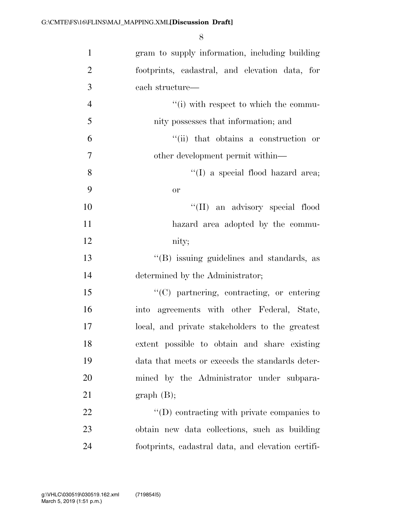| $\mathbf{1}$   | gram to supply information, including building     |
|----------------|----------------------------------------------------|
| $\overline{2}$ | footprints, cadastral, and elevation data, for     |
| 3              | each structure—                                    |
| $\overline{4}$ | "(i) with respect to which the commu-              |
| 5              | nity possesses that information; and               |
| 6              | "(ii) that obtains a construction or               |
| $\overline{7}$ | other development permit within—                   |
| 8              | "(I) a special flood hazard area;                  |
| 9              | <b>or</b>                                          |
| 10             | "(II) an advisory special flood                    |
| 11             | hazard area adopted by the commu-                  |
| 12             | nity;                                              |
| 13             | "(B) issuing guidelines and standards, as          |
| 14             | determined by the Administrator;                   |
| 15             | "(C) partnering, contracting, or entering          |
| 16             | into agreements with other Federal, State,         |
| 17             | local, and private stakeholders to the greatest    |
| 18             | extent possible to obtain and share existing       |
| 19             | data that meets or exceeds the standards deter-    |
| 20             | mined by the Administrator under subpara-          |
| 21             | graph(B);                                          |
| 22             | $\lq\lq$ contracting with private companies to     |
| 23             | obtain new data collections, such as building      |
| 24             | footprints, cadastral data, and elevation certifi- |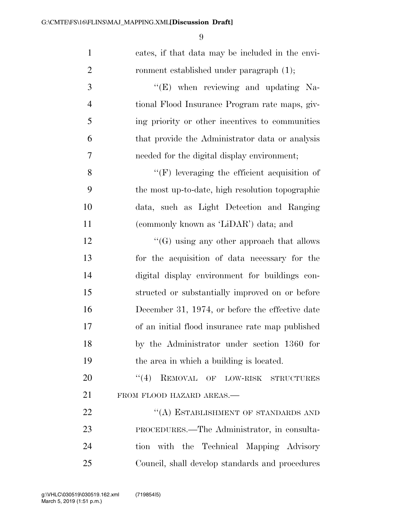| $\mathbf{1}$   | cates, if that data may be included in the envi-    |
|----------------|-----------------------------------------------------|
| $\overline{2}$ | ronment established under paragraph (1);            |
| 3              | $\lq\lq(E)$ when reviewing and updating Na-         |
| $\overline{4}$ | tional Flood Insurance Program rate maps, giv-      |
| 5              | ing priority or other incentives to communities     |
| 6              | that provide the Administrator data or analysis     |
| 7              | needed for the digital display environment;         |
| 8              | $\lq\lq(F)$ leveraging the efficient acquisition of |
| 9              | the most up-to-date, high resolution topographic    |
| 10             | data, such as Light Detection and Ranging           |
| 11             | (commonly known as 'LiDAR') data; and               |
| 12             | $\lq\lq(G)$ using any other approach that allows    |
| 13             | for the acquisition of data necessary for the       |
| 14             | digital display environment for buildings con-      |
| 15             | structed or substantially improved on or before     |
| 16             | December 31, 1974, or before the effective date     |
| 17             | of an initial flood insurance rate map published    |
| 18             | by the Administrator under section 1360 for         |
| 19             | the area in which a building is located.            |
| 20             | REMOVAL OF LOW-RISK STRUCTURES<br>(4)               |
| 21             | FROM FLOOD HAZARD AREAS.-                           |
| 22             | "(A) ESTABLISHMENT OF STANDARDS AND                 |
| 23             | PROCEDURES.—The Administrator, in consulta-         |
| 24             | tion with the Technical Mapping Advisory            |
| 25             | Council, shall develop standards and procedures     |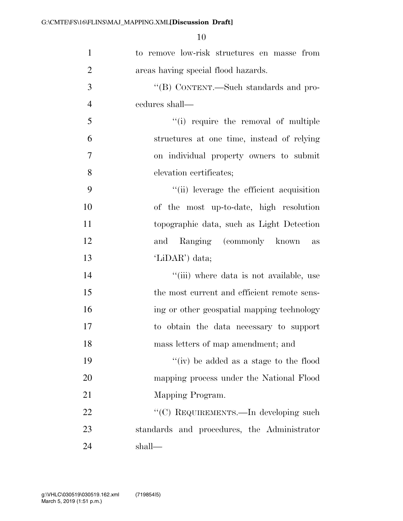| $\mathbf{1}$   | to remove low-risk structures en masse from   |
|----------------|-----------------------------------------------|
| $\overline{2}$ | areas having special flood hazards.           |
| 3              | $\lq\lq (B)$ CONTENT.—Such standards and pro- |
| $\overline{4}$ | cedures shall—                                |
| 5              | "(i) require the removal of multiple          |
| 6              | structures at one time, instead of relying    |
| $\overline{7}$ | on individual property owners to submit       |
| 8              | elevation certificates;                       |
| 9              | "(ii) leverage the efficient acquisition      |
| 10             | of the most up-to-date, high resolution       |
| 11             | topographic data, such as Light Detection     |
| 12             | Ranging (commonly known<br>and<br>as          |
| 13             | 'LiDAR') data;                                |
| 14             | "(iii) where data is not available, use       |
| 15             | the most current and efficient remote sens-   |
| 16             | ing or other geospatial mapping technology    |
| 17             | to obtain the data necessary to support       |
| 18             | mass letters of map amendment; and            |
| 19             | "(iv) be added as a stage to the flood        |
| 20             | mapping process under the National Flood      |
| 21             | Mapping Program.                              |
| 22             | "(C) REQUIREMENTS.—In developing such         |
| 23             | standards and procedures, the Administrator   |
| 24             | shall—                                        |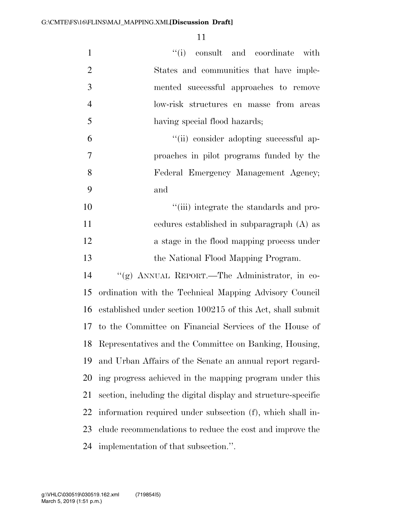| $\mathbf{1}$   | "(i) consult and coordinate with                              |
|----------------|---------------------------------------------------------------|
| $\overline{2}$ | States and communities that have imple-                       |
| 3              | mented successful approaches to remove                        |
| $\overline{4}$ | low-risk structures en masse from areas                       |
| 5              | having special flood hazards;                                 |
| 6              | "(ii) consider adopting successful ap-                        |
| $\overline{7}$ | proaches in pilot programs funded by the                      |
| 8              | Federal Emergency Management Agency;                          |
| 9              | and                                                           |
| 10             | "(iii) integrate the standards and pro-                       |
| 11             | cedures established in subparagraph (A) as                    |
| 12             | a stage in the flood mapping process under                    |
| 13             | the National Flood Mapping Program.                           |
| 14             | "(g) ANNUAL REPORT.—The Administrator, in co-                 |
| 15             | ordination with the Technical Mapping Advisory Council        |
| 16             | established under section 100215 of this Act, shall submit    |
| 17             | to the Committee on Financial Services of the House of        |
| 18             | Representatives and the Committee on Banking, Housing,        |
| 19             | and Urban Affairs of the Senate an annual report regard-      |
| 20             | ing progress achieved in the mapping program under this       |
| 21             | section, including the digital display and structure-specific |
|                |                                                               |
| 22             | information required under subsection (f), which shall in-    |
| 23             | clude recommendations to reduce the cost and improve the      |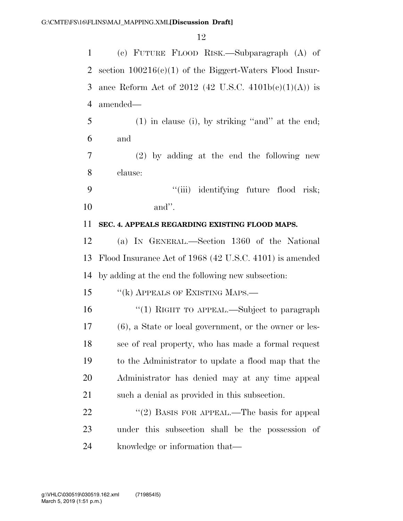(c) FUTURE FLOOD RISK.—Subparagraph (A) of section 100216(c)(1) of the Biggert-Waters Flood Insur-3 ance Reform Act of 2012 (42 U.S.C.  $4101b(c)(1)(A)$ ) is amended— (1) in clause (i), by striking ''and'' at the end; and (2) by adding at the end the following new clause: 9 ''(iii) identifying future flood risk; and''. **SEC. 4. APPEALS REGARDING EXISTING FLOOD MAPS.**  (a) IN GENERAL.—Section 1360 of the National Flood Insurance Act of 1968 (42 U.S.C. 4101) is amended by adding at the end the following new subsection: 15 "(k) APPEALS OF EXISTING MAPS.— 16 "(1) RIGHT TO APPEAL.—Subject to paragraph (6), a State or local government, or the owner or les- see of real property, who has made a formal request to the Administrator to update a flood map that the Administrator has denied may at any time appeal such a denial as provided in this subsection.  $(2)$  BASIS FOR APPEAL.—The basis for appeal under this subsection shall be the possession of knowledge or information that—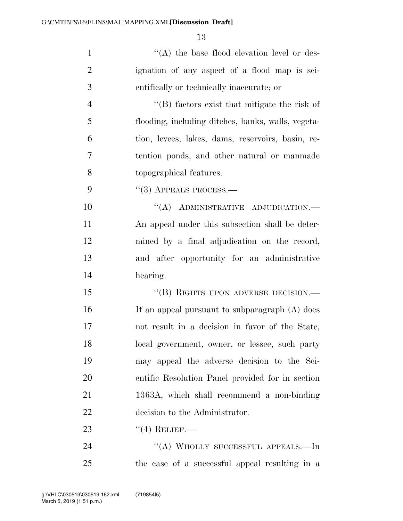| $\mathbf{1}$   | $\lq\lq$ the base flood elevation level or des-    |
|----------------|----------------------------------------------------|
| $\overline{2}$ | ignation of any aspect of a flood map is sci-      |
| 3              | entifically or technically inaccurate; or          |
| $\overline{4}$ | $\lq$ (B) factors exist that mitigate the risk of  |
| 5              | flooding, including ditches, banks, walls, vegeta- |
| 6              | tion, levees, lakes, dams, reservoirs, basin, re-  |
| 7              | tention ponds, and other natural or manmade        |
| 8              | topographical features.                            |
| 9              | $\cdot$ (3) APPEALS PROCESS.—                      |
| 10             | "(A) ADMINISTRATIVE ADJUDICATION.—                 |
| 11             | An appeal under this subsection shall be deter-    |
| 12             | mined by a final adjudication on the record,       |
| 13             | and after opportunity for an administrative        |
| 14             | hearing.                                           |
| 15             | "(B) RIGHTS UPON ADVERSE DECISION.—                |
| 16             | If an appeal pursuant to subparagraph (A) does     |
| 17             | not result in a decision in favor of the State,    |
| 18             | local government, owner, or lessee, such party     |
| 19             | may appeal the adverse decision to the Sci-        |
| 20             | entific Resolution Panel provided for in section   |
| 21             | 1363A, which shall recommend a non-binding         |
| 22             | decision to the Administrator.                     |
| 23             | $``(4)$ RELIEF.—                                   |
| 24             | "(A) WHOLLY SUCCESSFUL APPEALS.—In                 |
| 25             | the case of a successful appeal resulting in a     |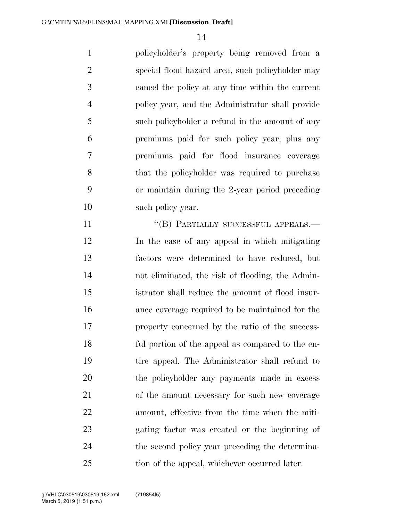policyholder's property being removed from a special flood hazard area, such policyholder may cancel the policy at any time within the current policy year, and the Administrator shall provide such policyholder a refund in the amount of any premiums paid for such policy year, plus any premiums paid for flood insurance coverage that the policyholder was required to purchase or maintain during the 2-year period preceding 10 such policy year.

11 "(B) PARTIALLY SUCCESSFUL APPEALS.— In the case of any appeal in which mitigating factors were determined to have reduced, but not eliminated, the risk of flooding, the Admin- istrator shall reduce the amount of flood insur- ance coverage required to be maintained for the property concerned by the ratio of the success- ful portion of the appeal as compared to the en- tire appeal. The Administrator shall refund to the policyholder any payments made in excess of the amount necessary for such new coverage amount, effective from the time when the miti- gating factor was created or the beginning of the second policy year preceding the determina-tion of the appeal, whichever occurred later.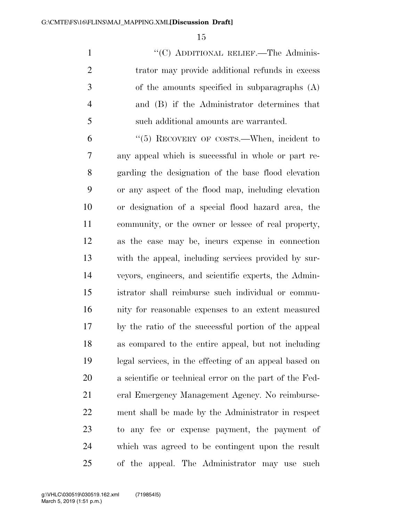1 ""(C) ADDITIONAL RELIEF.—The Adminis-2 trator may provide additional refunds in excess of the amounts specified in subparagraphs (A) and (B) if the Administrator determines that such additional amounts are warranted.

 ''(5) RECOVERY OF COSTS.—When, incident to any appeal which is successful in whole or part re- garding the designation of the base flood elevation or any aspect of the flood map, including elevation or designation of a special flood hazard area, the community, or the owner or lessee of real property, as the case may be, incurs expense in connection with the appeal, including services provided by sur- veyors, engineers, and scientific experts, the Admin- istrator shall reimburse such individual or commu- nity for reasonable expenses to an extent measured by the ratio of the successful portion of the appeal as compared to the entire appeal, but not including legal services, in the effecting of an appeal based on a scientific or technical error on the part of the Fed- eral Emergency Management Agency. No reimburse- ment shall be made by the Administrator in respect to any fee or expense payment, the payment of which was agreed to be contingent upon the result of the appeal. The Administrator may use such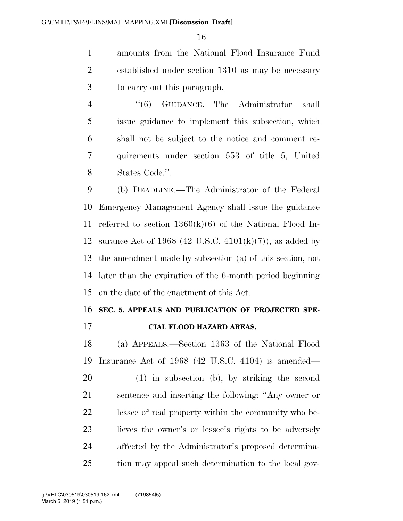amounts from the National Flood Insurance Fund established under section 1310 as may be necessary to carry out this paragraph.

 ''(6) GUIDANCE.—The Administrator shall issue guidance to implement this subsection, which shall not be subject to the notice and comment re- quirements under section 553 of title 5, United States Code.''.

 (b) DEADLINE.—The Administrator of the Federal Emergency Management Agency shall issue the guidance referred to section 1360(k)(6) of the National Flood In-12 surance Act of 1968 (42 U.S.C.  $4101(k)(7)$ ), as added by the amendment made by subsection (a) of this section, not later than the expiration of the 6-month period beginning on the date of the enactment of this Act.

#### **SEC. 5. APPEALS AND PUBLICATION OF PROJECTED SPE-**

**CIAL FLOOD HAZARD AREAS.** 

 (a) APPEALS.—Section 1363 of the National Flood Insurance Act of 1968 (42 U.S.C. 4104) is amended—

 (1) in subsection (b), by striking the second sentence and inserting the following: ''Any owner or lessee of real property within the community who be- lieves the owner's or lessee's rights to be adversely affected by the Administrator's proposed determina-tion may appeal such determination to the local gov-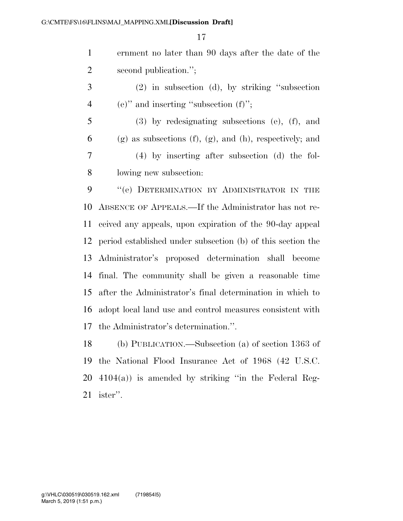|   | ernment no later than 90 days after the date of the |
|---|-----------------------------------------------------|
| 2 | second publication.";                               |
| 3 | $(2)$ in subsection (d), by striking "subsection"   |

- 4 (e)" and inserting "subsection (f)";
- (3) by redesignating subsections (e), (f), and 6 (g) as subsections (f), (g), and (h), respectively; and (4) by inserting after subsection (d) the fol-lowing new subsection:

9 "(e) DETERMINATION BY ADMINISTRATOR IN THE ABSENCE OF APPEALS.—If the Administrator has not re- ceived any appeals, upon expiration of the 90-day appeal period established under subsection (b) of this section the Administrator's proposed determination shall become final. The community shall be given a reasonable time after the Administrator's final determination in which to adopt local land use and control measures consistent with the Administrator's determination.''.

 (b) PUBLICATION.—Subsection (a) of section 1363 of the National Flood Insurance Act of 1968 (42 U.S.C.  $20\quad 4104(a)$ ) is amended by striking "in the Federal Reg-ister''.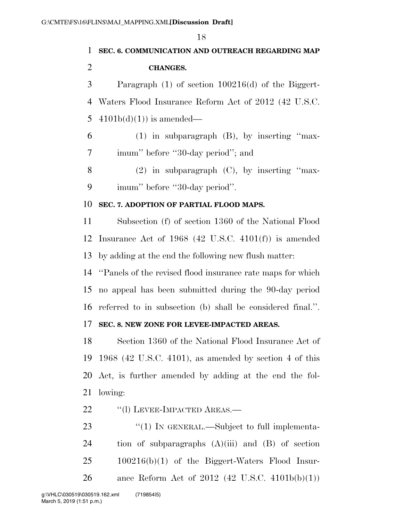| 1              | SEC. 6. COMMUNICATION AND OUTREACH REGARDING MAP              |
|----------------|---------------------------------------------------------------|
| $\overline{2}$ | <b>CHANGES.</b>                                               |
| 3              | Paragraph $(1)$ of section $100216(d)$ of the Biggert-        |
| 4              | Waters Flood Insurance Reform Act of 2012 (42 U.S.C.          |
| 5              | $4101b(d)(1)$ is amended—                                     |
| 6              | $(1)$ in subparagraph $(B)$ , by inserting "max-              |
| 7              | imum" before "30-day period"; and                             |
| 8              | $(2)$ in subparagraph $(C)$ , by inserting "max-              |
| 9              | imum" before "30-day period".                                 |
| 10             | SEC. 7. ADOPTION OF PARTIAL FLOOD MAPS.                       |
| 11             | Subsection (f) of section 1360 of the National Flood          |
| 12             | Insurance Act of $1968$ (42 U.S.C. 4101(f)) is amended        |
| 13             | by adding at the end the following new flush matter:          |
| 14             | "Panels of the revised flood insurance rate maps for which    |
| 15             | no appeal has been submitted during the 90-day period         |
|                | 16 referred to in subsection (b) shall be considered final.". |
| 17             | SEC. 8. NEW ZONE FOR LEVEE-IMPACTED AREAS.                    |
| 18             | Section 1360 of the National Flood Insurance Act of           |
| 19             | 1968 (42 U.S.C. 4101), as amended by section 4 of this        |
| 20             | Act, is further amended by adding at the end the fol-         |
| 21             | lowing:                                                       |
| 22             | "(1) LEVEE-IMPACTED AREAS.—                                   |
| 23             | $\lq(1)$ In GENERAL.—Subject to full implementa-              |
| 24             | tion of subparagraphs $(A)(iii)$ and $(B)$ of section         |
| 25             | $100216(b)(1)$ of the Biggert-Waters Flood Insur-             |

ance Reform Act of 2012 (42 U.S.C. 4101b(b)(1))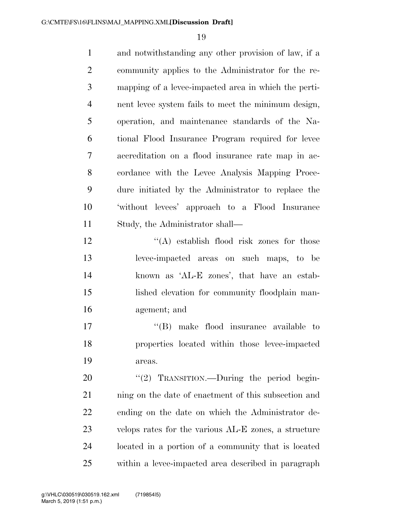and notwithstanding any other provision of law, if a community applies to the Administrator for the re- mapping of a levee-impacted area in which the perti- nent levee system fails to meet the minimum design, operation, and maintenance standards of the Na- tional Flood Insurance Program required for levee accreditation on a flood insurance rate map in ac- cordance with the Levee Analysis Mapping Proce- dure initiated by the Administrator to replace the 'without levees' approach to a Flood Insurance Study, the Administrator shall—  $\mathbf{12}$  ''(A) establish flood risk zones for those

 levee-impacted areas on such maps, to be known as 'AL-E zones', that have an estab- lished elevation for community floodplain man-agement; and

17  $\langle G \rangle$  make flood insurance available to properties located within those levee-impacted areas.

20 "(2) TRANSITION.—During the period begin-21 ning on the date of enactment of this subsection and ending on the date on which the Administrator de- velops rates for the various AL-E zones, a structure located in a portion of a community that is located within a levee-impacted area described in paragraph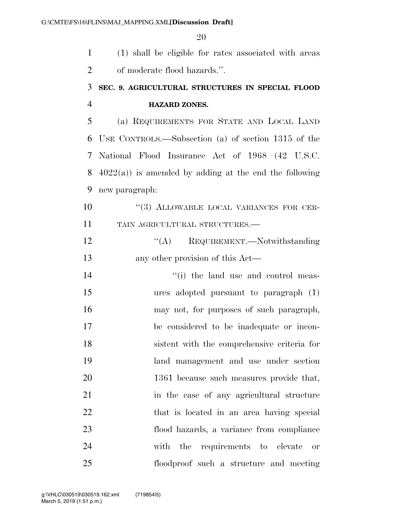(1) shall be eligible for rates associated with areas of moderate flood hazards.''. **SEC. 9. AGRICULTURAL STRUCTURES IN SPECIAL FLOOD HAZARD ZONES.**  (a) REQUIREMENTS FOR STATE AND LOCAL LAND USE CONTROLS.—Subsection (a) of section 1315 of the National Flood Insurance Act of 1968 (42 U.S.C.  $4022(a)$  is amended by adding at the end the following new paragraph:  $(3)$  ALLOWABLE LOCAL VARIANCES FOR CER- TAIN AGRICULTURAL STRUCTURES.—  $\text{``(A)}$  REQUIREMENT.—Notwithstanding any other provision of this Act— 14 ''(i) the land use and control meas- ures adopted pursuant to paragraph (1) may not, for purposes of such paragraph, be considered to be inadequate or incon- sistent with the comprehensive criteria for land management and use under section 1361 because such measures provide that, in the case of any agricultural structure 22 that is located in an area having special flood hazards, a variance from compliance with the requirements to elevate or floodproof such a structure and meeting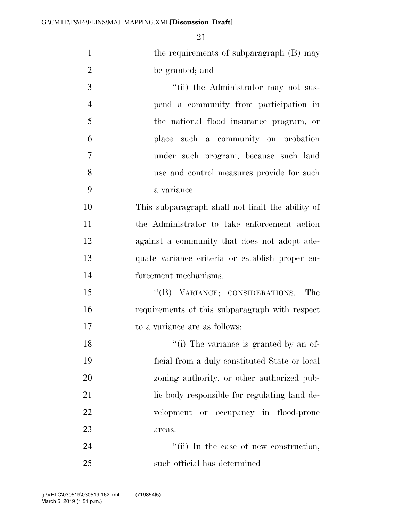| $\mathbf{1}$   | the requirements of subparagraph (B) may         |
|----------------|--------------------------------------------------|
| $\overline{2}$ | be granted; and                                  |
| 3              | "(ii) the Administrator may not sus-             |
| $\overline{4}$ | pend a community from participation in           |
| 5              | the national flood insurance program, or         |
| 6              | place such a community on probation              |
| 7              | under such program, because such land            |
| 8              | use and control measures provide for such        |
| 9              | a variance.                                      |
| 10             | This subparagraph shall not limit the ability of |
| 11             | the Administrator to take enforcement action     |
| 12             | against a community that does not adopt ade-     |
| 13             | quate variance criteria or establish proper en-  |
| 14             | forcement mechanisms.                            |
| 15             | "(B) VARIANCE; CONSIDERATIONS.—The               |
| 16             | requirements of this subparagraph with respect   |
| 17             | to a variance are as follows:                    |
| 18             | "(i) The variance is granted by an of-           |
| 19             | ficial from a duly constituted State or local    |
| 20             | zoning authority, or other authorized pub-       |
| 21             | lic body responsible for regulating land de-     |
| 22             | velopment or occupancy in flood-prone            |
| 23             | areas.                                           |
| 24             | "(ii) In the case of new construction,           |
| 25             | such official has determined—                    |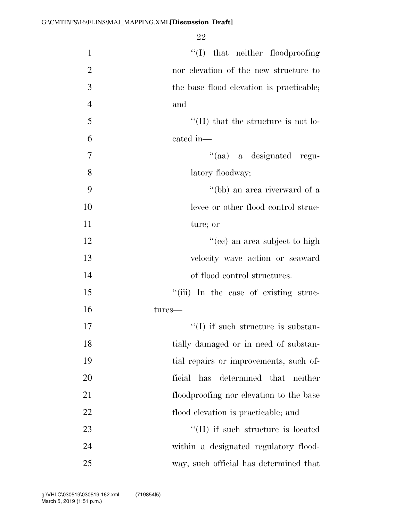| $\mathbf{1}$   | $\lq\lq$ that neither floodproofing         |
|----------------|---------------------------------------------|
| $\overline{2}$ | nor elevation of the new structure to       |
| $\overline{3}$ | the base flood elevation is practicable;    |
| $\overline{4}$ | and                                         |
| 5              | $\lq\lq$ (II) that the structure is not lo- |
| 6              | cated in-                                   |
| 7              | "(aa) a designated regu-                    |
| 8              | latory floodway;                            |
| 9              | "(bb) an area riverward of a                |
| 10             | levee or other flood control struc-         |
| 11             | ture; or                                    |
| 12             | "(cc) an area subject to high               |
| 13             | velocity wave action or seaward             |
| 14             | of flood control structures.                |
| 15             | "(iii) In the case of existing struc-       |
| 16             | tures-                                      |
| 17             | $\lq (I)$ if such structure is substan-     |
| 18             | tially damaged or in need of substan-       |
| 19             | tial repairs or improvements, such of-      |
| 20             | has determined that neither<br>ficial       |
| 21             | floodproofing nor elevation to the base     |
| 22             | flood elevation is practicable; and         |
| 23             | "(II) if such structure is located          |
| 24             | within a designated regulatory flood-       |
| 25             | way, such official has determined that      |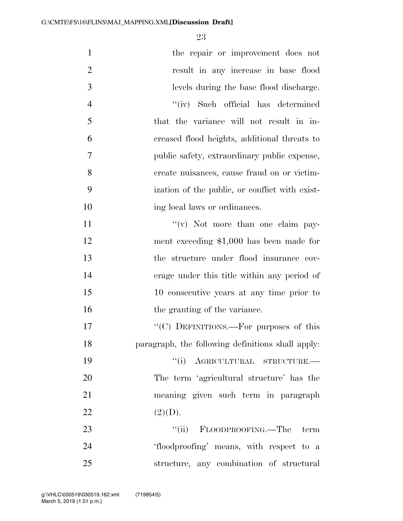| $\mathbf{1}$   | the repair or improvement does not                |
|----------------|---------------------------------------------------|
| $\overline{2}$ | result in any increase in base flood              |
| 3              | levels during the base flood discharge.           |
| $\overline{4}$ | "(iv) Such official has determined                |
| 5              | that the variance will not result in in-          |
| 6              | creased flood heights, additional threats to      |
| 7              | public safety, extraordinary public expense,      |
| 8              | create nuisances, cause fraud on or victim-       |
| 9              | ization of the public, or conflict with exist-    |
| 10             | ing local laws or ordinances.                     |
| 11             | $f'(v)$ Not more than one claim pay-              |
| 12             | ment exceeding $$1,000$ has been made for         |
| 13             | the structure under flood insurance cov-          |
| 14             | erage under this title within any period of       |
| 15             | 10 consecutive years at any time prior to         |
| 16             | the granting of the variance.                     |
| 17             | "(C) DEFINITIONS.—For purposes of this            |
| 18             | paragraph, the following definitions shall apply: |
| 19             | "(i) AGRICULTURAL STRUCTURE.-                     |
| 20             | The term 'agricultural structure' has the         |
| 21             | meaning given such term in paragraph              |
| 22             | (2)(D).                                           |
| 23             | "(ii) FLOODPROOFING.—The term                     |
| 24             | 'floodproofing' means, with respect to a          |
| 25             | structure, any combination of structural          |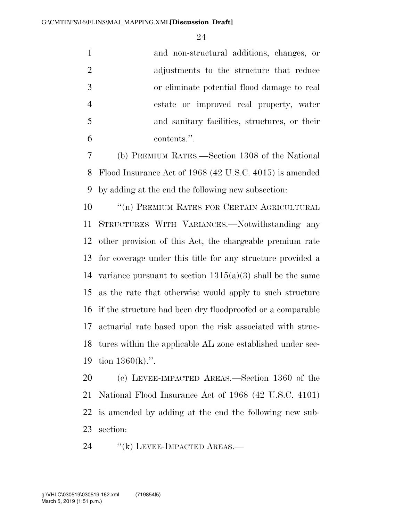|    | and non-structural additions, changes, or     |
|----|-----------------------------------------------|
|    | adjustments to the structure that reduce      |
| -3 | or eliminate potential flood damage to real   |
|    | estate or improved real property, water       |
| -5 | and sanitary facilities, structures, or their |
|    | contents.".                                   |
|    |                                               |

 (b) PREMIUM RATES.—Section 1308 of the National Flood Insurance Act of 1968 (42 U.S.C. 4015) is amended by adding at the end the following new subsection:

10 <sup>"</sup>(n) PREMIUM RATES FOR CERTAIN AGRICULTURAL STRUCTURES WITH VARIANCES.—Notwithstanding any other provision of this Act, the chargeable premium rate for coverage under this title for any structure provided a 14 variance pursuant to section  $1315(a)(3)$  shall be the same as the rate that otherwise would apply to such structure if the structure had been dry floodproofed or a comparable actuarial rate based upon the risk associated with struc- tures within the applicable AL zone established under sec-tion 1360(k).''.

 (c) LEVEE-IMPACTED AREAS.—Section 1360 of the National Flood Insurance Act of 1968 (42 U.S.C. 4101) is amended by adding at the end the following new sub-section:

24 "(k) LEVEE-IMPACTED AREAS.—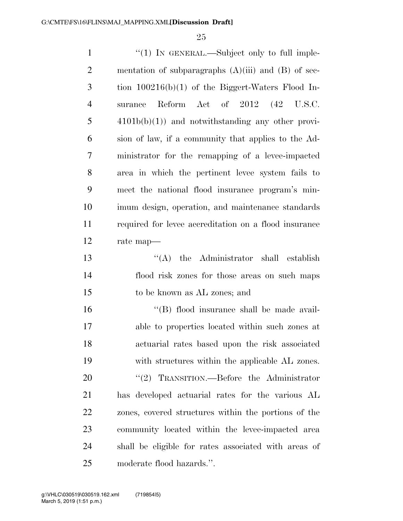| $\mathbf{1}$   | "(1) IN GENERAL.—Subject only to full imple-            |
|----------------|---------------------------------------------------------|
| $\overline{2}$ | mentation of subparagraphs $(A)(iii)$ and $(B)$ of sec- |
| 3              | tion $100216(b)(1)$ of the Biggert-Waters Flood In-     |
| $\overline{4}$ | surance Reform Act of 2012 (42 U.S.C.                   |
| 5              | $4101b(b)(1)$ and notwithstanding any other provi-      |
| 6              | sion of law, if a community that applies to the Ad-     |
| $\overline{7}$ | ministrator for the remapping of a levee-impacted       |
| 8              | area in which the pertinent levee system fails to       |
| 9              | meet the national flood insurance program's min-        |
| 10             | imum design, operation, and maintenance standards       |
| 11             | required for level accreditation on a flood insurance   |
| 12             | rate map—                                               |
| 13             | $\lq\lq$ the Administrator shall establish              |
| 14             | flood risk zones for those areas on such maps           |
| 15             | to be known as AL zones; and                            |
| 16             | "(B) flood insurance shall be made avail-               |
| 17             | able to properties located within such zones at         |
| 18             | actuarial rates based upon the risk associated          |
| 19             | with structures within the applicable AL zones.         |
| 20             | "(2) TRANSITION.—Before the Administrator               |
| 21             | has developed actuarial rates for the various AL        |
| 22             | zones, covered structures within the portions of the    |
| 23             | community located within the levee-impacted area        |
| 24             | shall be eligible for rates associated with areas of    |
| 25             | moderate flood hazards.".                               |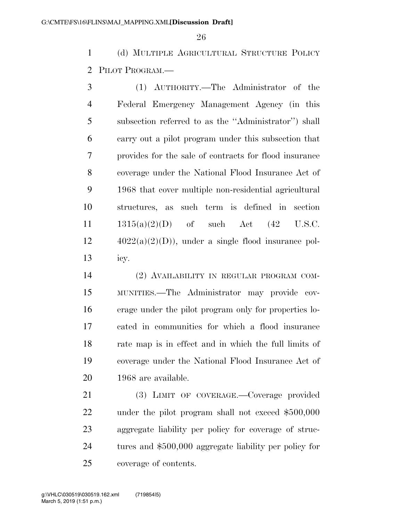(d) MULTIPLE AGRICULTURAL STRUCTURE POLICY PILOT PROGRAM.—

 (1) AUTHORITY.—The Administrator of the Federal Emergency Management Agency (in this subsection referred to as the ''Administrator'') shall carry out a pilot program under this subsection that provides for the sale of contracts for flood insurance coverage under the National Flood Insurance Act of 1968 that cover multiple non-residential agricultural structures, as such term is defined in section  $1315(a)(2)(D)$  of such Act  $(42 \text{ U.S.C.})$  $12 \qquad \qquad 4022(a)(2)(D)$ , under a single flood insurance pol-icy.

 (2) AVAILABILITY IN REGULAR PROGRAM COM- MUNITIES.—The Administrator may provide cov- erage under the pilot program only for properties lo- cated in communities for which a flood insurance rate map is in effect and in which the full limits of coverage under the National Flood Insurance Act of 1968 are available.

 (3) LIMIT OF COVERAGE.—Coverage provided under the pilot program shall not exceed \$500,000 aggregate liability per policy for coverage of struc- tures and \$500,000 aggregate liability per policy for coverage of contents.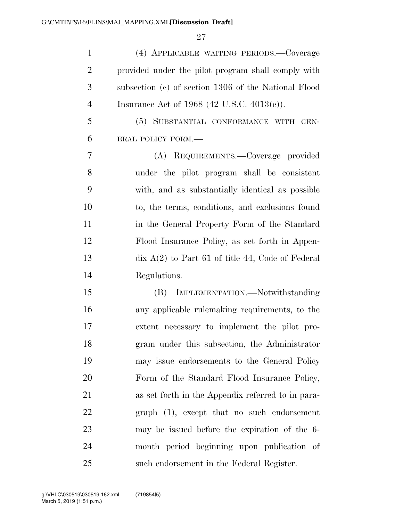| $\mathbf{1}$   | (4) APPLICABLE WAITING PERIODS.—Coverage                            |
|----------------|---------------------------------------------------------------------|
| $\overline{2}$ | provided under the pilot program shall comply with                  |
| 3              | subsection (c) of section 1306 of the National Flood                |
| $\overline{4}$ | Insurance Act of 1968 (42 U.S.C. 4013(c)).                          |
| 5              | (5) SUBSTANTIAL CONFORMANCE WITH GEN-                               |
| 6              | ERAL POLICY FORM.-                                                  |
| 7              | (A) REQUIREMENTS.-Coverage provided                                 |
| 8              | under the pilot program shall be consistent                         |
| 9              | with, and as substantially identical as possible                    |
| 10             | to, the terms, conditions, and exclusions found                     |
| 11             | in the General Property Form of the Standard                        |
| 12             | Flood Insurance Policy, as set forth in Appen-                      |
| 13             | $\overline{\text{d}x}$ A(2) to Part 61 of title 44, Code of Federal |
| 14             | Regulations.                                                        |
| 15             | (B) IMPLEMENTATION.—Notwithstanding                                 |
| 16             | any applicable rule making requirements, to the                     |
| 17             | extent necessary to implement the pilot pro-                        |
| 18             | gram under this subsection, the Administrator                       |
| 19             | may issue endorsements to the General Policy                        |
| 20             | Form of the Standard Flood Insurance Policy,                        |
| 21             | as set forth in the Appendix referred to in para-                   |
| 22             | graph (1), except that no such endorsement                          |
| 23             | may be issued before the expiration of the 6-                       |
| 24             | month period beginning upon publication of                          |
| 25             | such endorsement in the Federal Register.                           |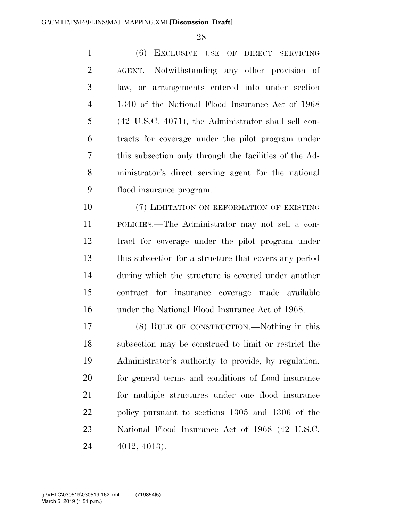(6) EXCLUSIVE USE OF DIRECT SERVICING AGENT.—Notwithstanding any other provision of law, or arrangements entered into under section 1340 of the National Flood Insurance Act of 1968 (42 U.S.C. 4071), the Administrator shall sell con- tracts for coverage under the pilot program under this subsection only through the facilities of the Ad- ministrator's direct serving agent for the national flood insurance program.

10 (7) LIMITATION ON REFORMATION OF EXISTING POLICIES.—The Administrator may not sell a con- tract for coverage under the pilot program under this subsection for a structure that covers any period during which the structure is covered under another contract for insurance coverage made available under the National Flood Insurance Act of 1968.

 (8) RULE OF CONSTRUCTION.—Nothing in this subsection may be construed to limit or restrict the Administrator's authority to provide, by regulation, for general terms and conditions of flood insurance for multiple structures under one flood insurance policy pursuant to sections 1305 and 1306 of the National Flood Insurance Act of 1968 (42 U.S.C. 4012, 4013).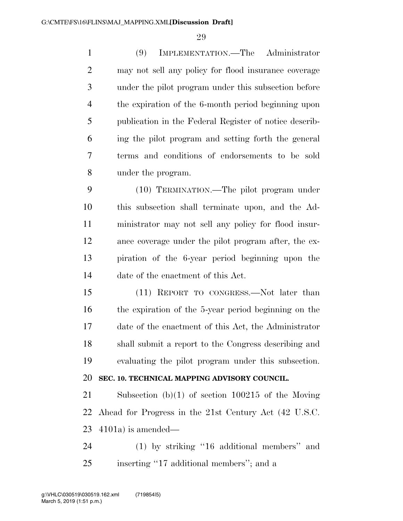(9) IMPLEMENTATION.—The Administrator may not sell any policy for flood insurance coverage under the pilot program under this subsection before the expiration of the 6-month period beginning upon publication in the Federal Register of notice describ- ing the pilot program and setting forth the general terms and conditions of endorsements to be sold under the program.

 (10) TERMINATION.—The pilot program under this subsection shall terminate upon, and the Ad- ministrator may not sell any policy for flood insur- ance coverage under the pilot program after, the ex- piration of the 6-year period beginning upon the date of the enactment of this Act.

 (11) REPORT TO CONGRESS.—Not later than the expiration of the 5-year period beginning on the date of the enactment of this Act, the Administrator shall submit a report to the Congress describing and evaluating the pilot program under this subsection.

# **SEC. 10. TECHNICAL MAPPING ADVISORY COUNCIL.**

 Subsection (b)(1) of section 100215 of the Moving Ahead for Progress in the 21st Century Act (42 U.S.C. 4101a) is amended—

 (1) by striking ''16 additional members'' and inserting ''17 additional members''; and a